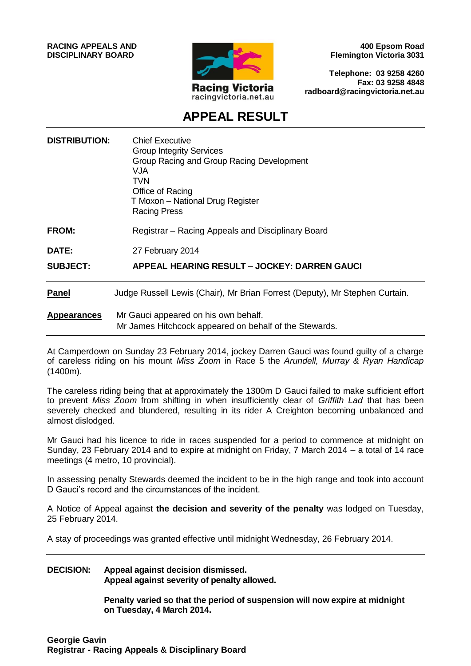

**400 Epsom Road Flemington Victoria 3031**

**Telephone: 03 9258 4260 Fax: 03 9258 4848 radboard@racingvictoria.net.au**

## **APPEAL RESULT**

| <b>DISTRIBUTION:</b> | <b>Chief Executive</b><br><b>Group Integrity Services</b><br>Group Racing and Group Racing Development<br>VJA<br>TVN<br>Office of Racing<br>T Moxon - National Drug Register<br><b>Racing Press</b> |
|----------------------|-----------------------------------------------------------------------------------------------------------------------------------------------------------------------------------------------------|
| <b>FROM:</b>         | Registrar – Racing Appeals and Disciplinary Board                                                                                                                                                   |
| DATE:                | 27 February 2014                                                                                                                                                                                    |
| <b>SUBJECT:</b>      | APPEAL HEARING RESULT - JOCKEY: DARREN GAUCI                                                                                                                                                        |
| <b>Panel</b>         | Judge Russell Lewis (Chair), Mr Brian Forrest (Deputy), Mr Stephen Curtain.                                                                                                                         |
| <b>Appearances</b>   | Mr Gauci appeared on his own behalf.<br>Mr James Hitchcock appeared on behalf of the Stewards.                                                                                                      |

At Camperdown on Sunday 23 February 2014, jockey Darren Gauci was found guilty of a charge of careless riding on his mount *Miss Zoom* in Race 5 the *Arundell, Murray & Ryan Handicap* (1400m).

The careless riding being that at approximately the 1300m D Gauci failed to make sufficient effort to prevent *Miss Zoom* from shifting in when insufficiently clear of *Griffith Lad* that has been severely checked and blundered, resulting in its rider A Creighton becoming unbalanced and almost dislodged.

Mr Gauci had his licence to ride in races suspended for a period to commence at midnight on Sunday, 23 February 2014 and to expire at midnight on Friday, 7 March 2014 – a total of 14 race meetings (4 metro, 10 provincial).

In assessing penalty Stewards deemed the incident to be in the high range and took into account D Gauci's record and the circumstances of the incident.

A Notice of Appeal against **the decision and severity of the penalty** was lodged on Tuesday, 25 February 2014.

A stay of proceedings was granted effective until midnight Wednesday, 26 February 2014.

#### **DECISION: Appeal against decision dismissed. Appeal against severity of penalty allowed.**

**Penalty varied so that the period of suspension will now expire at midnight on Tuesday, 4 March 2014.**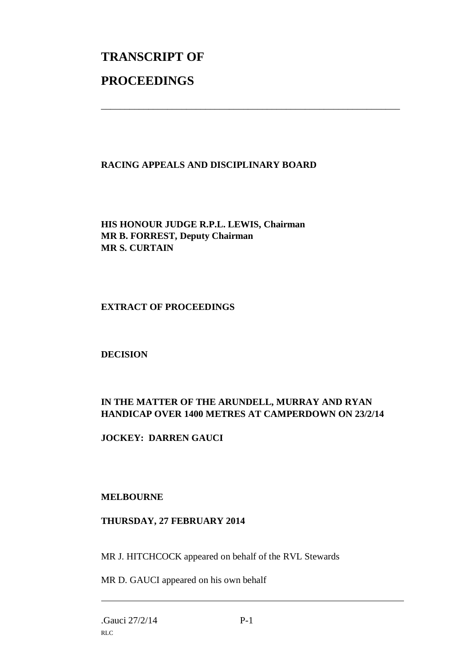# **TRANSCRIPT OF PROCEEDINGS**

#### **RACING APPEALS AND DISCIPLINARY BOARD**

\_\_\_\_\_\_\_\_\_\_\_\_\_\_\_\_\_\_\_\_\_\_\_\_\_\_\_\_\_\_\_\_\_\_\_\_\_\_\_\_\_\_\_\_\_\_\_\_\_\_\_\_\_\_\_\_\_\_\_\_\_\_\_

**HIS HONOUR JUDGE R.P.L. LEWIS, Chairman MR B. FORREST, Deputy Chairman MR S. CURTAIN**

#### **EXTRACT OF PROCEEDINGS**

**DECISION**

### **IN THE MATTER OF THE ARUNDELL, MURRAY AND RYAN HANDICAP OVER 1400 METRES AT CAMPERDOWN ON 23/2/14**

**JOCKEY: DARREN GAUCI**

#### **MELBOURNE**

#### **THURSDAY, 27 FEBRUARY 2014**

MR J. HITCHCOCK appeared on behalf of the RVL Stewards

MR D. GAUCI appeared on his own behalf